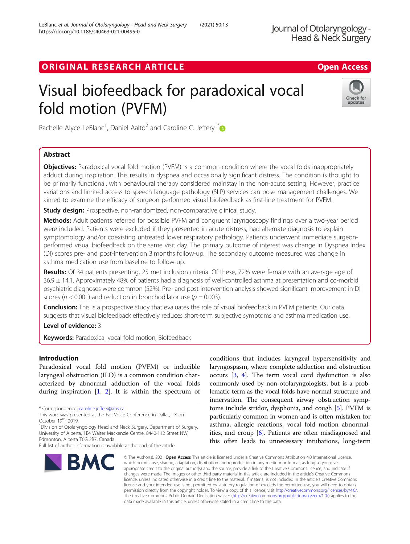ORIGINAL RESEARCH ARTICLE **Solution Contract Contract Contract Contract Contract Contract Contract Contract Contract Contract Contract Contract Contract Contract Contract Contract Contract Contract Contract Contract Contra** 

# Visual biofeedback for paradoxical vocal fold motion (PVFM)



Rachelle Alyce LeBlanc<sup>1</sup>, Daniel Aalto<sup>2</sup> and Caroline C. Jeffery<sup>1\*</sup>

# Abstract

**Objectives:** Paradoxical vocal fold motion (PVFM) is a common condition where the vocal folds inappropriately adduct during inspiration. This results in dyspnea and occasionally significant distress. The condition is thought to be primarily functional, with behavioural therapy considered mainstay in the non-acute setting. However, practice variations and limited access to speech language pathology (SLP) services can pose management challenges. We aimed to examine the efficacy of surgeon performed visual biofeedback as first-line treatment for PVFM.

Study design: Prospective, non-randomized, non-comparative clinical study.

Methods: Adult patients referred for possible PVFM and congruent laryngoscopy findings over a two-year period were included. Patients were excluded if they presented in acute distress, had alternate diagnosis to explain symptomology and/or coexisting untreated lower respiratory pathology. Patients underwent immediate surgeonperformed visual biofeedback on the same visit day. The primary outcome of interest was change in Dyspnea Index (DI) scores pre- and post-intervention 3 months follow-up. The secondary outcome measured was change in asthma medication use from baseline to follow-up.

Results: Of 34 patients presenting, 25 met inclusion criteria. Of these, 72% were female with an average age of 36.9 ± 14.1. Approximately 48% of patients had a diagnosis of well-controlled asthma at presentation and co-morbid psychiatric diagnoses were common (52%). Pre- and post-intervention analysis showed significant improvement in DI scores ( $p < 0.001$ ) and reduction in bronchodilator use ( $p = 0.003$ ).

Conclusion: This is a prospective study that evaluates the role of visual biofeedback in PVFM patients. Our data suggests that visual biofeedback effectively reduces short-term subjective symptoms and asthma medication use.

Level of evidence: 3

Keywords: Paradoxical vocal fold motion, Biofeedback

# Introduction

Paradoxical vocal fold motion (PVFM) or inducible laryngeal obstruction (ILO) is a common condition characterized by abnormal adduction of the vocal folds during inspiration  $[1, 2]$  $[1, 2]$  $[1, 2]$  $[1, 2]$ . It is within the spectrum of

<sup>1</sup> Division of Otolaryngology Head and Neck Surgery, Department of Surgery, University of Alberta, 1E4 Walter Mackenzie Centre, 8440-112 Street NW, Edmonton, Alberta T6G 2B7, Canada

Full list of author information is available at the end of the article



conditions that includes laryngeal hypersensitivity and laryngospasm, where complete adduction and obstruction occurs [\[3,](#page-4-0) [4\]](#page-4-0). The term vocal cord dysfunction is also commonly used by non-otolaryngologists, but is a problematic term as the vocal folds have normal structure and innervation. The consequent airway obstruction symptoms include stridor, dysphonia, and cough [\[5\]](#page-4-0). PVFM is particularly common in women and is often mistaken for asthma, allergic reactions, vocal fold motion abnormalities, and croup [[6](#page-4-0)]. Patients are often misdiagnosed and this often leads to unnecessary intubations, long-term

© The Author(s), 2021 **Open Access** This article is licensed under a Creative Commons Attribution 4.0 International License, which permits use, sharing, adaptation, distribution and reproduction in any medium or format, as long as you give appropriate credit to the original author(s) and the source, provide a link to the Creative Commons licence, and indicate if changes were made. The images or other third party material in this article are included in the article's Creative Commons licence, unless indicated otherwise in a credit line to the material. If material is not included in the article's Creative Commons licence and your intended use is not permitted by statutory regulation or exceeds the permitted use, you will need to obtain permission directly from the copyright holder. To view a copy of this licence, visit [http://creativecommons.org/licenses/by/4.0/.](http://creativecommons.org/licenses/by/4.0/) The Creative Commons Public Domain Dedication waiver [\(http://creativecommons.org/publicdomain/zero/1.0/](http://creativecommons.org/publicdomain/zero/1.0/)) applies to the data made available in this article, unless otherwise stated in a credit line to the data.

<sup>\*</sup> Correspondence: [caroline.jeffery@ahs.ca](mailto:caroline.jeffery@ahs.ca)

This work was presented at the Fall Voice Conference in Dallas, TX on October 19<sup>th</sup>, 2019.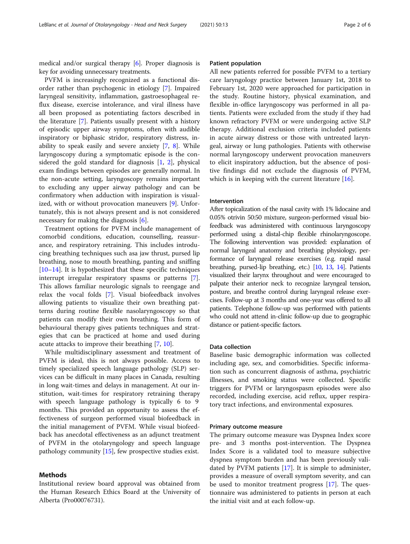medical and/or surgical therapy [[6\]](#page-4-0). Proper diagnosis is key for avoiding unnecessary treatments.

PVFM is increasingly recognized as a functional disorder rather than psychogenic in etiology [\[7](#page-4-0)]. Impaired laryngeal sensitivity, inflammation, gastroesophageal reflux disease, exercise intolerance, and viral illness have all been proposed as potentiating factors described in the literature [\[7](#page-4-0)]. Patients usually present with a history of episodic upper airway symptoms, often with audible inspiratory or biphasic stridor, respiratory distress, inability to speak easily and severe anxiety [\[7](#page-4-0), [8\]](#page-4-0). While laryngoscopy during a symptomatic episode is the considered the gold standard for diagnosis [\[1](#page-4-0), [2](#page-4-0)], physical exam findings between episodes are generally normal. In the non-acute setting, laryngoscopy remains important to excluding any upper airway pathology and can be confirmatory when adduction with inspiration is visualized, with or without provocation maneuvers [\[9](#page-4-0)]. Unfortunately, this is not always present and is not considered necessary for making the diagnosis [\[6](#page-4-0)].

Treatment options for PVFM include management of comorbid conditions, education, counselling, reassurance, and respiratory retraining. This includes introducing breathing techniques such asa jaw thrust, pursed lip breathing, nose to mouth breathing, panting and sniffing [[10](#page-4-0)–[14](#page-5-0)]. It is hypothesized that these specific techniques interrupt irregular respiratory spasms or patterns [\[7](#page-4-0)]. This allows familiar neurologic signals to reengage and relax the vocal folds [\[7](#page-4-0)]. Visual biofeedback involves allowing patients to visualize their own breathing patterns during routine flexible nasolaryngoscopy so that patients can modify their own breathing. This form of behavioural therapy gives patients techniques and strategies that can be practiced at home and used during acute attacks to improve their breathing [\[7](#page-4-0), [10](#page-4-0)].

While multidisciplinary assessment and treatment of PVFM is ideal, this is not always possible. Access to timely specialized speech language pathology (SLP) services can be difficult in many places in Canada, resulting in long wait-times and delays in management. At our institution, wait-times for respiratory retraining therapy with speech language pathology is typically 6 to 9 months. This provided an opportunity to assess the effectiveness of surgeon performed visual biofeedback in the initial management of PVFM. While visual biofeedback has anecdotal effectiveness as an adjunct treatment of PVFM in the otolaryngology and speech language pathology community [\[15](#page-5-0)], few prospective studies exist.

# Methods

Institutional review board approval was obtained from the Human Research Ethics Board at the University of Alberta (Pro00076731).

# Patient population

All new patients referred for possible PVFM to a tertiary care laryngology practice between January 1st, 2018 to February 1st, 2020 were approached for participation in the study. Routine history, physical examination, and flexible in-office laryngoscopy was performed in all patients. Patients were excluded from the study if they had known refractory PVFM or were undergoing active SLP therapy. Additional exclusion criteria included patients in acute airway distress or those with untreated laryngeal, airway or lung pathologies. Patients with otherwise normal laryngoscopy underwent provocation maneuvers to elicit inspiratory adduction, but the absence of positive findings did not exclude the diagnosis of PVFM, which is in keeping with the current literature [[16\]](#page-5-0).

# Intervention

After topicalization of the nasal cavity with 1% lidocaine and 0.05% otrivin 50:50 mixture, surgeon-performed visual biofeedback was administered with continuous laryngoscopy performed using a distal-chip flexible rhinolaryngoscope. The following intervention was provided: explanation of normal laryngeal anatomy and breathing physiology, performance of laryngeal release exercises (e.g. rapid nasal breathing, pursed-lip breathing, etc.) [[10](#page-4-0), [13,](#page-4-0) [14\]](#page-5-0). Patients visualized their larynx throughout and were encouraged to palpate their anterior neck to recognize laryngeal tension, posture, and breathe control during laryngeal release exercises. Follow-up at 3 months and one-year was offered to all patients. Telephone follow-up was performed with patients who could not attend in-clinic follow-up due to geographic distance or patient-specific factors.

# Data collection

Baseline basic demographic information was collected including age, sex, and comorbidities. Specific information such as concurrent diagnosis of asthma, psychiatric illnesses, and smoking status were collected. Specific triggers for PVFM or laryngospasm episodes were also recorded, including exercise, acid reflux, upper respiratory tract infections, and environmental exposures.

### Primary outcome measure

The primary outcome measure was Dyspnea Index score pre- and 3 months post-intervention. The Dyspnea Index Score is a validated tool to measure subjective dyspnea symptom burden and has been previously validated by PVFM patients [\[17](#page-5-0)]. It is simple to administer, provides a measure of overall symptom severity, and can be used to monitor treatment progress [[17](#page-5-0)]. The questionnaire was administered to patients in person at each the initial visit and at each follow-up.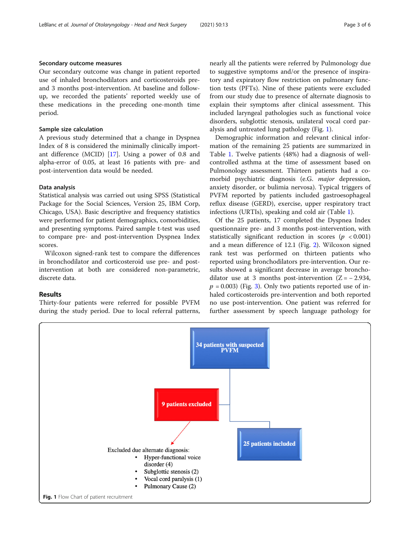# Secondary outcome measures

Our secondary outcome was change in patient reported use of inhaled bronchodilators and corticosteroids preand 3 months post-intervention. At baseline and followup, we recorded the patients' reported weekly use of these medications in the preceding one-month time period.

# Sample size calculation

A previous study determined that a change in Dyspnea Index of 8 is considered the minimally clinically important difference (MCID) [\[17](#page-5-0)]. Using a power of 0.8 and alpha-error of 0.05, at least 16 patients with pre- and post-intervention data would be needed.

# Data analysis

Statistical analysis was carried out using SPSS (Statistical Package for the Social Sciences, Version 25, IBM Corp, Chicago, USA). Basic descriptive and frequency statistics were performed for patient demographics, comorbidities, and presenting symptoms. Paired sample t-test was used to compare pre- and post-intervention Dyspnea Index scores.

Wilcoxon signed-rank test to compare the differences in bronchodilator and corticosteroid use pre- and postintervention at both are considered non-parametric, discrete data.

# Results

Thirty-four patients were referred for possible PVFM during the study period. Due to local referral patterns, nearly all the patients were referred by Pulmonology due to suggestive symptoms and/or the presence of inspiratory and expiratory flow restriction on pulmonary function tests (PFTs). Nine of these patients were excluded from our study due to presence of alternate diagnosis to explain their symptoms after clinical assessment. This included laryngeal pathologies such as functional voice disorders, subglottic stenosis, unilateral vocal cord paralysis and untreated lung pathology (Fig. 1).

Demographic information and relevant clinical information of the remaining 25 patients are summarized in Table [1](#page-3-0). Twelve patients (48%) had a diagnosis of wellcontrolled asthma at the time of assessment based on Pulmonology assessment. Thirteen patients had a comorbid psychiatric diagnosis (e.G. major depression, anxiety disorder, or bulimia nervosa). Typical triggers of PVFM reported by patients included gastroesophageal reflux disease (GERD), exercise, upper respiratory tract infections (URTIs), speaking and cold air (Table [1\)](#page-3-0).

Of the 25 patients, 17 completed the Dyspnea Index questionnaire pre- and 3 months post-intervention, with statistically significant reduction in scores ( $p < 0.001$ ) and a mean difference of 12.1 (Fig. [2\)](#page-3-0). Wilcoxon signed rank test was performed on thirteen patients who reported using bronchodilators pre-intervention. Our results showed a significant decrease in average bronchodilator use at 3 months post-intervention  $(Z = -2.934,$  $p = 0.003$ ) (Fig. [3\)](#page-3-0). Only two patients reported use of inhaled corticosteroids pre-intervention and both reported no use post-intervention. One patient was referred for further assessment by speech language pathology for

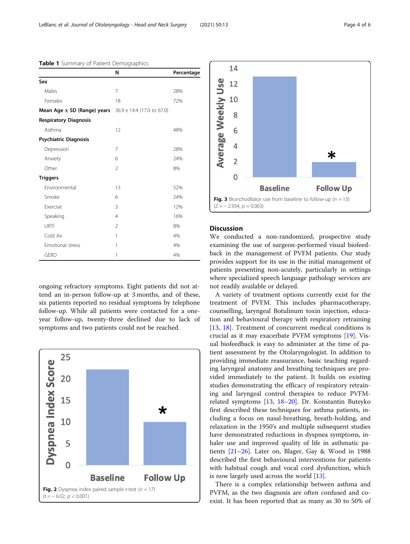|                               | N                              | Percentage |
|-------------------------------|--------------------------------|------------|
| Sex                           |                                |            |
| Males                         | 7                              | 28%        |
| Females                       | 18                             | 72%        |
| Mean Age ± SD (Range) years   | $36.9 \pm 14.4$ (17.0 to 67.0) |            |
| <b>Respiratory Diagnosis</b>  |                                |            |
| Asthma                        | 12                             | 48%        |
| <b>Psychiatric Diagnosis</b>  |                                |            |
| Depression                    | 7                              | 28%        |
| Anxiety                       | 6                              | 24%        |
| Other                         | $\mathfrak{D}$                 | 8%         |
| <b>Triggers</b>               |                                |            |
| Environmental                 | 13                             | 52%        |
| Smoke                         | 6                              | 24%        |
| <b><i><u>Exercise</u></i></b> | 3                              | 12%        |
| Speaking                      | $\overline{4}$                 | 16%        |
| URTI                          | $\mathfrak{D}$                 | 8%         |
| Cold Air                      | 1                              | 4%         |
| <b>Emotional stress</b>       | 1                              | 4%         |
| <b>GERD</b>                   | 1                              | 4%         |

<span id="page-3-0"></span>Table 1 Summary of Patient Demographics

ongoing refractory symptoms. Eight patients did not attend an in-person follow-up at 3 months, and of these, six patients reported no residual symptoms by telephone follow-up. While all patients were contacted for a oneyear follow-up, twenty-three declined due to lack of symptoms and two patients could not be reached.





# **Discussion**

We conducted a non-randomized, prospective study examining the use of surgeon-performed visual biofeedback in the management of PVFM patients. Our study provides support for its use in the initial management of patients presenting non-acutely, particularly in settings where specialized speech language pathology services are not readily available or delayed.

A variety of treatment options currently exist for the treatment of PVFM. This includes pharmacotherapy, counselling, laryngeal Botulinum toxin injection, education and behavioural therapy with respiratory retraining [[13,](#page-4-0) [18](#page-5-0)]. Treatment of concurrent medical conditions is crucial as it may exacerbate PVFM symptoms [\[19\]](#page-5-0). Visual biofeedback is easy to administer at the time of patient assessment by the Otolaryngologist. In addition to providing immediate reassurance, basic teaching regarding laryngeal anatomy and breathing techniques are provided immediately to the patient. It builds on existing studies demonstrating the efficacy of respiratory retraining and laryngeal control therapies to reduce PVFMrelated symptoms [[13](#page-4-0), [18](#page-5-0)–[20\]](#page-5-0). Dr. Konstantin Buteyko first described these techniques for asthma patients, including a focus on nasal-breathing, breath-holding, and relaxation in the 1950's and multiple subsequent studies have demonstrated reductions in dyspnea symptoms, inhaler use and improved quality of life in asthmatic patients [[21](#page-5-0)–[26](#page-5-0)]. Later on, Blager, Gay & Wood in 1988 described the first behavioural interventions for patients with habitual cough and vocal cord dysfunction, which is now largely used across the world [\[13\]](#page-4-0).

There is a complex relationship between asthma and PVFM, as the two diagnosis are often confused and coexist. It has been reported that as many as 30 to 50% of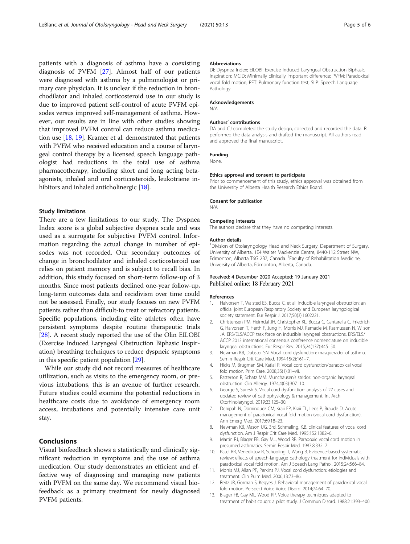<span id="page-4-0"></span>patients with a diagnosis of asthma have a coexisting diagnosis of PVFM [[27](#page-5-0)]. Almost half of our patients were diagnosed with asthma by a pulmonologist or primary care physician. It is unclear if the reduction in bronchodilator and inhaled corticosteroid use in our study is due to improved patient self-control of acute PVFM episodes versus improved self-management of asthma. However, our results are in line with other studies showing that improved PVFM control can reduce asthma medication use [[18](#page-5-0), [19\]](#page-5-0). Kramer et al. demonstrated that patients with PVFM who received education and a course of laryngeal control therapy by a licensed speech language pathologist had reductions in the total use of asthma pharmacotherapy, including short and long acting betaagonists, inhaled and oral corticosteroids, leukotriene in-hibitors and inhaled anticholinergic [\[18\]](#page-5-0).

# Study limitations

There are a few limitations to our study. The Dyspnea Index score is a global subjective dyspnea scale and was used as a surrogate for subjective PVFM control. Information regarding the actual change in number of episodes was not recorded. Our secondary outcomes of change in bronchodilator and inhaled corticosteroid use relies on patient memory and is subject to recall bias. In addition, this study focused on short-term follow-up of 3 months. Since most patients declined one-year follow-up, long-term outcomes data and recidivism over time could not be assessed. Finally, our study focuses on new PVFM patients rather than difficult-to treat or refractory patients. Specific populations, including elite athletes often have persistent symptoms despite routine therapeutic trials [[28](#page-5-0)]. A recent study reported the use of the Olin EILOBI (Exercise Induced Laryngeal Obstruction Biphasic Inspiration) breathing techniques to reduce dyspneic symptoms in this specific patient population [[29](#page-5-0)].

While our study did not record measures of healthcare utilization, such as visits to the emergency room, or previous intubations, this is an avenue of further research. Future studies could examine the potential reductions in healthcare costs due to avoidance of emergency room access, intubations and potentially intensive care unit stay.

# Conclusions

Visual biofeedback shows a statistically and clinically significant reduction in symptoms and the use of asthma medication. Our study demonstrates an efficient and effective way of diagnosing and managing new patients with PVFM on the same day. We recommend visual biofeedback as a primary treatment for newly diagnosed PVFM patients.

#### Abbreviations

DI: Dyspnea Index; EILOBI: Exercise Induced Laryngeal Obstruction Biphasic Inspiration; MCID: Minimally clinically important difference; PVFM: Paradoxical vocal fold motion; PFT: Pulmonary function test; SLP: Speech Language Pathology

#### Acknowledgements

N/A

#### Authors' contributions

DA and CJ completed the study design, collected and recorded the data. RL performed the data analysis and drafted the manuscript. All authors read and approved the final manuscript.

#### Funding

None.

#### Ethics approval and consent to participate

Prior to commencement of this study, ethics approval was obtained from the University of Alberta Health Research Ethics Board.

# Consent for publication

N/A

#### Competing interests

The authors declare that they have no competing interests.

#### Author details

<sup>1</sup> Division of Otolaryngology Head and Neck Surgery, Department of Surgery, University of Alberta, 1E4 Walter Mackenzie Centre, 8440-112 Street NW, Edmonton, Alberta T6G 2B7, Canada. <sup>2</sup> Faculty of Rehabilitation Medicine, University of Alberta, Edmonton, Alberta, Canada.

# Received: 4 December 2020 Accepted: 19 January 2021 Published online: 18 February 2021

#### References

- 1. Halvorsen T, Walsted ES, Bucca C, et al. Inducible laryngeal obstruction: an official joint European Respiratory Society and European laryngological society statement. Eur Respir J. 2017;50(3):1602221.
- 2. Christensen PM, Heimdal JH, Christopher KL, Bucca C, Cantarella G, Friedrich G, Halvorsen T, Herth F, Jung H, Morris MJ, Remacle M, Rasmussen N, Wilson JA. ERS/ELS/ACCP task force on inducible laryngeal obstructions. ERS/ELS/ ACCP 2013 international consensus conference nomenclature on inducible laryngeal obstructions. Eur Respir Rev. 2015;24(137):445–50.
- 3. Newman KB, Dubster SN. Vocal cord dysfunction: masquerader of asthma. Semin Respir Crit Care Med. 1994;15(2):161–7.
- 4. Hicks M, Brugman SM, Katial R. Vocal cord dysfunction/paradoxical vocal fold motion. Prim Care. 2008;35(1):81–vii.
- 5. Patterson R, Schatz MM. Munchausen's stridor: non-organic laryngeal obstruction. Clin Allergy. 1974;4(03):307–10.
- 6. George S, Suresh S. Vocal cord dysfunction: analysis of 27 cases and updated review of pathophysiology & management. Int Arch Otorhinolaryngol. 2019;23:125–30.
- 7. Denipah N, Dominquez CM, Kraii EP, Kraii TL, Leos P, Braude D. Acute management of paradoxical vocal fold motion (vocal cord dysfunction). Ann Emerg Med. 2017;69:18–23.
- 8. Newman KB, Mason UG. 3rd, Schmaling, K.B. clinical features of vocal cord dysfunction. Am J Respir Crit Care Med. 1995;152:1382–6.
- 9. Martin RJ, Blager FB, Gay ML, Wood RP. Paradoxic vocal cord motion in presumed asthmatics. Semin Respir Med. 1987;8:332–7.
- 10. Patel RR, Venediktov R, Schooling T, Wang B. Evidence-based systematic review: effects of speech-language pathology treatment for individuals with paradoxical vocal fold motion. Am J Speech Lang Pathol. 2015;24:566–84.
- 11. Morris MJ, Allan PF, Perkins PJ. Vocal cord dysfunction: etiologies and treatment. Clin Pulm Med. 2006;13:73–86.
- 12. Reitz JR, Gorman S, Kegyes J. Behavioral management of paradoxical vocal fold motion. Perspect Voice Voice Disord. 2014;24:64–70.
- 13. Blager FB, Gay ML, Wood RP. Voice therapy techniques adapted to treatment of habit cough: a pilot study. J Commun Disord. 1988;21:393–400.